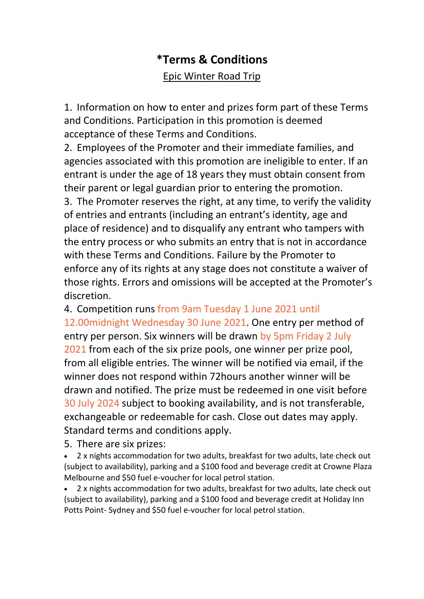## **\*Terms & Conditions** Epic Winter Road Trip

1. Information on how to enter and prizes form part of these Terms and Conditions. Participation in this promotion is deemed acceptance of these Terms and Conditions.

2. Employees of the Promoter and their immediate families, and agencies associated with this promotion are ineligible to enter. If an entrant is under the age of 18 years they must obtain consent from their parent or legal guardian prior to entering the promotion. 3. The Promoter reserves the right, at any time, to verify the validity of entries and entrants (including an entrant's identity, age and place of residence) and to disqualify any entrant who tampers with the entry process or who submits an entry that is not in accordance with these Terms and Conditions. Failure by the Promoter to enforce any of its rights at any stage does not constitute a waiver of those rights. Errors and omissions will be accepted at the Promoter's discretion.

4. Competition runs from 9am Tuesday 1 June 2021 until

12.00midnight Wednesday 30 June 2021. One entry per method of entry per person. Six winners will be drawn by 5pm Friday 2 July 2021 from each of the six prize pools, one winner per prize pool, from all eligible entries. The winner will be notified via email, if the winner does not respond within 72hours another winner will be drawn and notified. The prize must be redeemed in one visit before 30 July 2024 subject to booking availability, and is not transferable, exchangeable or redeemable for cash. Close out dates may apply. Standard terms and conditions apply.

5. There are six prizes:

• 2 x nights accommodation for two adults, breakfast for two adults, late check out (subject to availability), parking and a \$100 food and beverage credit at Crowne Plaza Melbourne and \$50 fuel e-voucher for local petrol station.

• 2 x nights accommodation for two adults, breakfast for two adults, late check out (subject to availability), parking and a \$100 food and beverage credit at Holiday Inn Potts Point- Sydney and \$50 fuel e-voucher for local petrol station.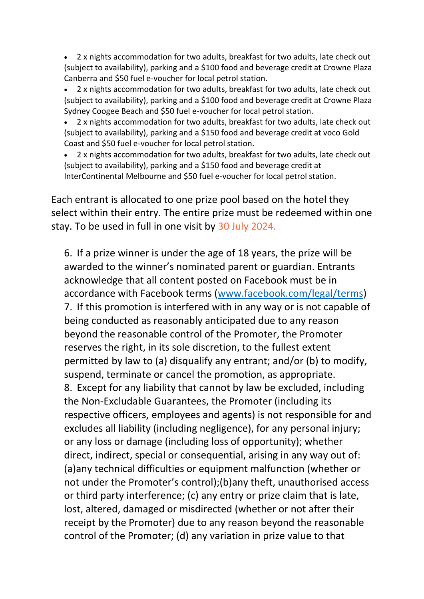• 2 x nights accommodation for two adults, breakfast for two adults, late check out (subject to availability), parking and a \$100 food and beverage credit at Crowne Plaza Canberra and \$50 fuel e-voucher for local petrol station.

• 2 x nights accommodation for two adults, breakfast for two adults, late check out (subject to availability), parking and a \$100 food and beverage credit at Crowne Plaza Sydney Coogee Beach and \$50 fuel e-voucher for local petrol station.

• 2 x nights accommodation for two adults, breakfast for two adults, late check out (subject to availability), parking and a \$150 food and beverage credit at voco Gold Coast and \$50 fuel e-voucher for local petrol station.

• 2 x nights accommodation for two adults, breakfast for two adults, late check out (subject to availability), parking and a \$150 food and beverage credit at InterContinental Melbourne and \$50 fuel e-voucher for local petrol station.

Each entrant is allocated to one prize pool based on the hotel they select within their entry. The entire prize must be redeemed within one stay. To be used in full in one visit by 30 July 2024.

6. If a prize winner is under the age of 18 years, the prize will be awarded to the winner's nominated parent or guardian. Entrants acknowledge that all content posted on Facebook must be in accordance with Facebook terms (www.facebook.com/legal/terms) 7. If this promotion is interfered with in any way or is not capable of being conducted as reasonably anticipated due to any reason beyond the reasonable control of the Promoter, the Promoter reserves the right, in its sole discretion, to the fullest extent permitted by law to (a) disqualify any entrant; and/or (b) to modify, suspend, terminate or cancel the promotion, as appropriate. 8. Except for any liability that cannot by law be excluded, including the Non-Excludable Guarantees, the Promoter (including its respective officers, employees and agents) is not responsible for and excludes all liability (including negligence), for any personal injury; or any loss or damage (including loss of opportunity); whether direct, indirect, special or consequential, arising in any way out of: (a)any technical difficulties or equipment malfunction (whether or not under the Promoter's control);(b)any theft, unauthorised access or third party interference; (c) any entry or prize claim that is late, lost, altered, damaged or misdirected (whether or not after their receipt by the Promoter) due to any reason beyond the reasonable control of the Promoter; (d) any variation in prize value to that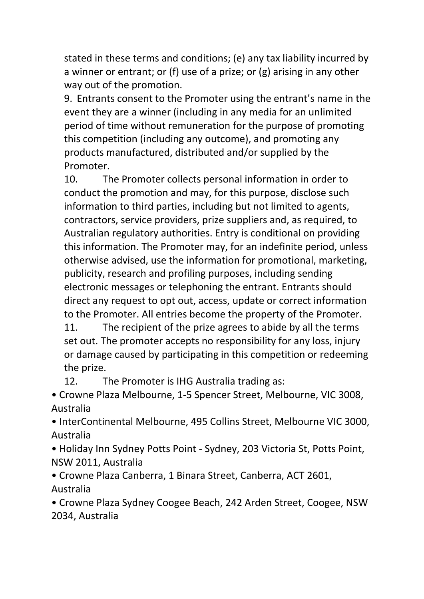stated in these terms and conditions; (e) any tax liability incurred by a winner or entrant; or (f) use of a prize; or (g) arising in any other way out of the promotion.

9. Entrants consent to the Promoter using the entrant's name in the event they are a winner (including in any media for an unlimited period of time without remuneration for the purpose of promoting this competition (including any outcome), and promoting any products manufactured, distributed and/or supplied by the Promoter.

10. The Promoter collects personal information in order to conduct the promotion and may, for this purpose, disclose such information to third parties, including but not limited to agents, contractors, service providers, prize suppliers and, as required, to Australian regulatory authorities. Entry is conditional on providing this information. The Promoter may, for an indefinite period, unless otherwise advised, use the information for promotional, marketing, publicity, research and profiling purposes, including sending electronic messages or telephoning the entrant. Entrants should direct any request to opt out, access, update or correct information to the Promoter. All entries become the property of the Promoter.

11. The recipient of the prize agrees to abide by all the terms set out. The promoter accepts no responsibility for any loss, injury or damage caused by participating in this competition or redeeming the prize.

12. The Promoter is IHG Australia trading as:

• Crowne Plaza Melbourne, 1-5 Spencer Street, Melbourne, VIC 3008, Australia

• InterContinental Melbourne, 495 Collins Street, Melbourne VIC 3000, Australia

• Holiday Inn Sydney Potts Point - Sydney, 203 Victoria St, Potts Point, NSW 2011, Australia

• Crowne Plaza Canberra, 1 Binara Street, Canberra, ACT 2601, Australia

• Crowne Plaza Sydney Coogee Beach, 242 Arden Street, Coogee, NSW 2034, Australia